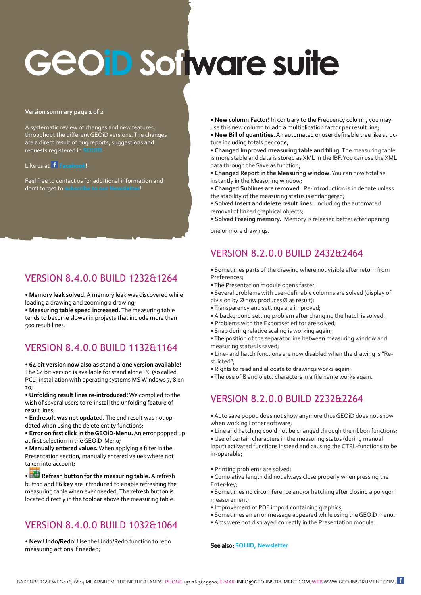# **<sup>G</sup>**e**OiD Software suite**

#### **Version summary page 1 of 2**

A systematic review of changes and new features, throughout the different GEOiD versions. The changes are a direct result of bug reports, suggestions and requests registered in SQ

#### Like us at **[Facebook](https://www.facebook.com/GEOInstrument/)**!

Feel free to contact us for additional information and don't forget to **[subscribe to our Newsletter](http://www.geo-instrument.com/Newsletter.asp)**!

## VERSION 8.4.0.0 BUILD 1232&1264

• **Memory leak solved.** A memory leak was discovered while loading a drawing and zooming a drawing;

• **Measuring table speed increased.** The measuring table tends to become slower in projects that include more than 500 result lines.

## VERSION 8.4.0.0 BUILD 1132&1164

• **64 bit version now also as stand alone version available!** The 64 bit version is available for stand alone PC (so called PCL) installation with operating systems MS Windows 7, 8 en 10;

• **Unfolding result lines re-introduced!** We complied to the wish of several users to re-install the unfolding feature of result lines;

• **Endresult was not updated.** The end result was not updated when using the delete entity functions;

• **Error on first click in the GEOiD-Menu.** An error popped up at first selection in the GEOiD-Menu;

• **Manually entered values.** When applying a filter in the Presentation section, manually entered values where not taken into account;

• **Refresh button for the measuring table.** A refresh button and **F6 key** are introduced to enable refreshing the measuring table when ever needed. The refresh button is located directly in the toolbar above the measuring table.

# VERSION 8.4.0.0 BUILD 1032&1064

• **New Undo/Redo!** Use the Undo/Redo function to redo measuring actions if needed;

• **New column Factor!** In contrary to the Frequency column, you may use this new column to add a multiplication factor per result line;

• **New Bill of quantities**. An automated or user definable tree like structure including totals per code;

• **Changed Improved measuring table and filing**. The measuring table is more stable and data is stored as XML in the IBF. You can use the XML data through the Save as function;

• **Changed Report in the Measuring window**. You can now totalise instantly in the Measuring window;

• **Changed Sublines are removed**. Re-introduction is in debate unless the stability of the measuring status is endangered;

• **Solved Insert and delete result lines.** Including the automated removal of linked graphical objects;

• **Solved Freeing memory.** Memory is released better after opening

one or more drawings.

# VERSION 8.2.0.0 BUILD 2432&2464

- Sometimes parts of the drawing where not visible after return from Preferences;
- The Presentation module opens faster;
- Several problems with user-definable columns are solved (display of division by Ø now produces Ø as result);
- Transparency and settings are improved;
- A background setting problem after changing the hatch is solved.
- Problems with the Exportset editor are solved;
- Snap during relative scaling is working again;
- The position of the separator line between measuring window and measuring status is saved;
- Line- and hatch functions are now disabled when the drawing is "Restricted";
- Rights to read and allocate to drawings works again;
- The use of ß and ö etc. characters in a file name works again.

# VERSION 8.2.0.0 BUILD 2232&2264

- Auto save popup does not show anymore thus GEOiD does not show when working i other software;
- Line and hatching could not be changed through the ribbon functions;

• Use of certain characters in the measuring status (during manual input) activated functions instead and causing the CTRL-functions to be in-operable;

- Printing problems are solved;
- Cumulative length did not always close properly when pressing the Enter-key;
- Sometimes no circumference and/or hatching after closing a polygon measurement;
- Improvement of PDF import containing graphics;
- Sometimes an error message appeared while using the GEOiD menu.
- Arcs were not displayed correctly in the Presentation module.

#### See also: **[SQUID,](http://www.geo-instrument.com/Support.asp) [Newsletter](http://www.geo-instrument.com/Newsletter.asp)**